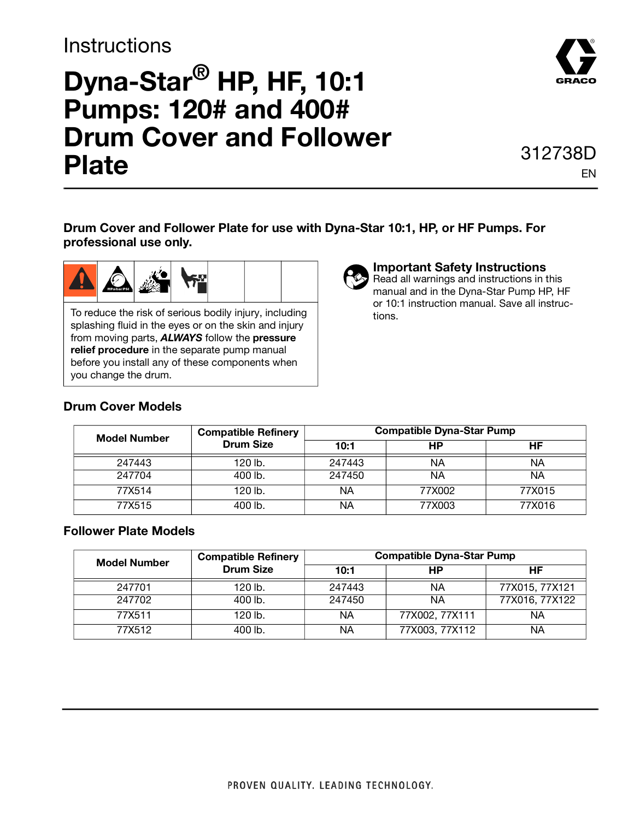### **Instructions**

## **Dyna-Star® HP, HF, 10:1 Pumps: 120# and 400# Drum Cover and Follower Plate** 312738D



# EN

**Drum Cover and Follower Plate for use with Dyna-Star 10:1, HP, or HF Pumps. For professional use only.** 



To reduce the risk of serious bodily injury, including splashing fluid in the eyes or on the skin and injury from moving parts, **ALWAYS** follow the **pressure relief procedure** in the separate pump manual before you install any of these components when you change the drum.

**Important Safety Instructions**

Read all warnings and instructions in this manual and in the Dyna-Star Pump HP, HF or 10:1 instruction manual. Save all instructions.

#### **Drum Cover Models**

| <b>Model Number</b> | <b>Compatible Refinery</b><br><b>Drum Size</b> | <b>Compatible Dyna-Star Pump</b> |        |        |
|---------------------|------------------------------------------------|----------------------------------|--------|--------|
|                     |                                                | 10:1                             | НP     | HF     |
| 247443              | 120 lb.                                        | 247443                           | ΝA     | ΝA     |
| 247704              | 400 lb.                                        | 247450                           | ΝA     | ΝA     |
| 77X514              | 120 lb.                                        | NА                               | 77X002 | 77X015 |
| 77X515              | 400 lb.                                        | ΝA                               | 77X003 | 77X016 |

#### **Follower Plate Models**

| <b>Model Number</b> | <b>Compatible Refinery</b><br><b>Drum Size</b> | <b>Compatible Dyna-Star Pump</b> |                |                |
|---------------------|------------------------------------------------|----------------------------------|----------------|----------------|
|                     |                                                | 10:1                             | НP             | HF             |
| 247701              | 120 lb.                                        | 247443                           | ΝA             | 77X015, 77X121 |
| 247702              | $400$ lb.                                      | 247450                           | ΝA             | 77X016, 77X122 |
| 77X511              | 120 lb.                                        | ΝA                               | 77X002, 77X111 | ΝA             |
| 77X512              | 400 lb.                                        | ΝA                               | 77X003, 77X112 | ΝA             |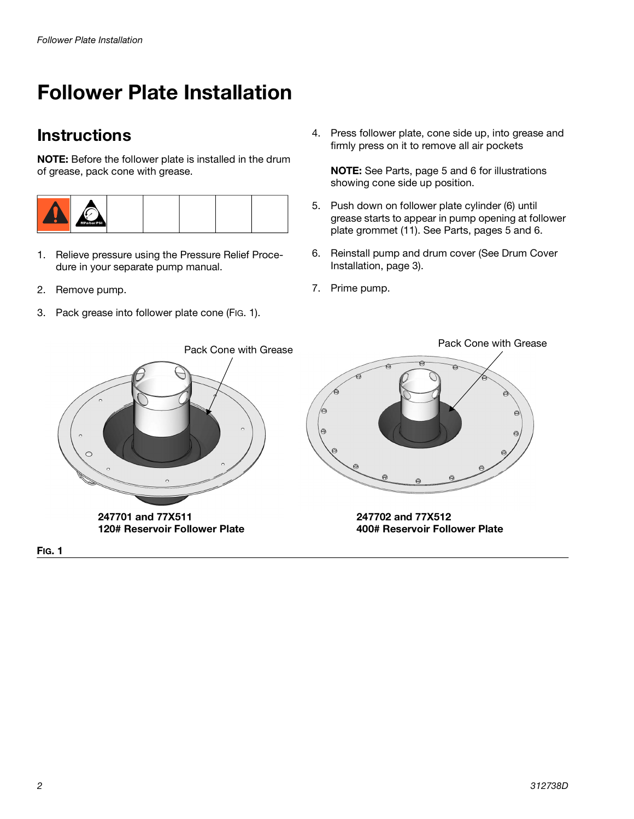### **Follower Plate Installation**

### **Instructions**

**NOTE:** Before the follower plate is installed in the drum of grease, pack cone with grease.



- 1. Relieve pressure using the Pressure Relief Procedure in your separate pump manual.
- 2. Remove pump.
- 3. Pack grease into follower plate cone (FIG. 1).

4. Press follower plate, cone side up, into grease and firmly press on it to remove all air pockets

**NOTE:** See Parts, page [5](#page-4-0) and [6](#page-5-0) for illustrations showing cone side up position.

- 5. Push down on follower plate cylinder (6) until grease starts to appear in pump opening at follower plate grommet (11). See Parts, pages [5](#page-4-0) and [6](#page-5-0).
- 6. Reinstall pump and drum cover (See Drum Cover Installation, page [3\)](#page-2-0).
- 7. Prime pump.



**FIG. 1**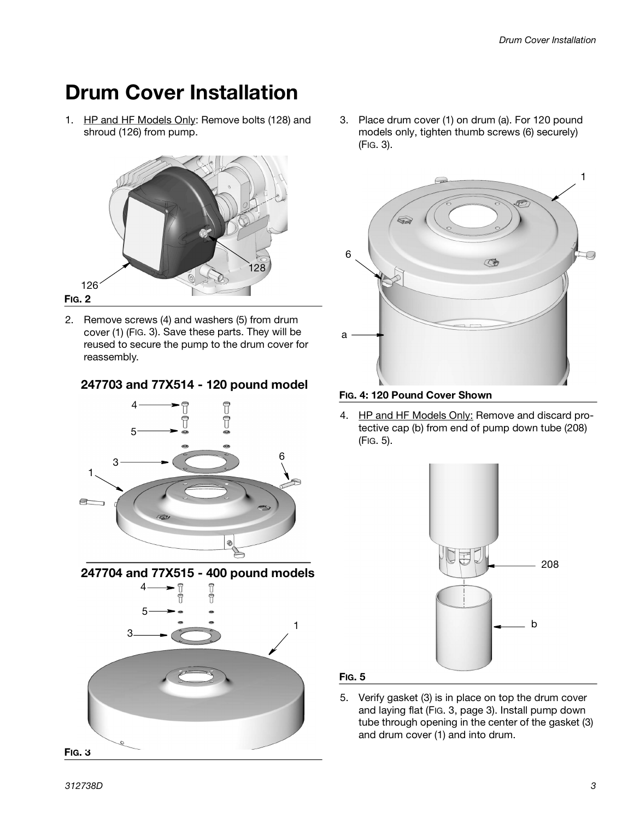### <span id="page-2-0"></span>**Drum Cover Installation**

1. HP and HF Models Only: Remove bolts (128) and shroud (126) from pump.



<span id="page-2-3"></span>2. Remove screws (4) and washers (5) from drum cover (1) ([FIG. 3\)](#page-2-1). Save these parts. They will be reused to secure the pump to the drum cover for reassembly.

### **247703 and 77X514 - 120 pound model FIG. 4: 120 Pound Cover Shown**



<span id="page-2-1"></span>**247704 and 77X515 - 400 pound models** 4 î 5 1 3 **FIG. 3**

3. Place drum cover (1) on drum (a). For 120 pound models only, tighten thumb screws (6) securely) [\(FIG. 3](#page-2-1)).



4. HP and HF Models Only: Remove and discard protective cap (b) from end of pump down tube (208) [\(FIG. 5](#page-2-2)).



#### <span id="page-2-2"></span>**FIG. 5**

5. Verify gasket (3) is in place on top the drum cover and laying flat ([FIG. 3](#page-2-1), page [3](#page-2-1)). Install pump down tube through opening in the center of the gasket (3) and drum cover (1) and into drum.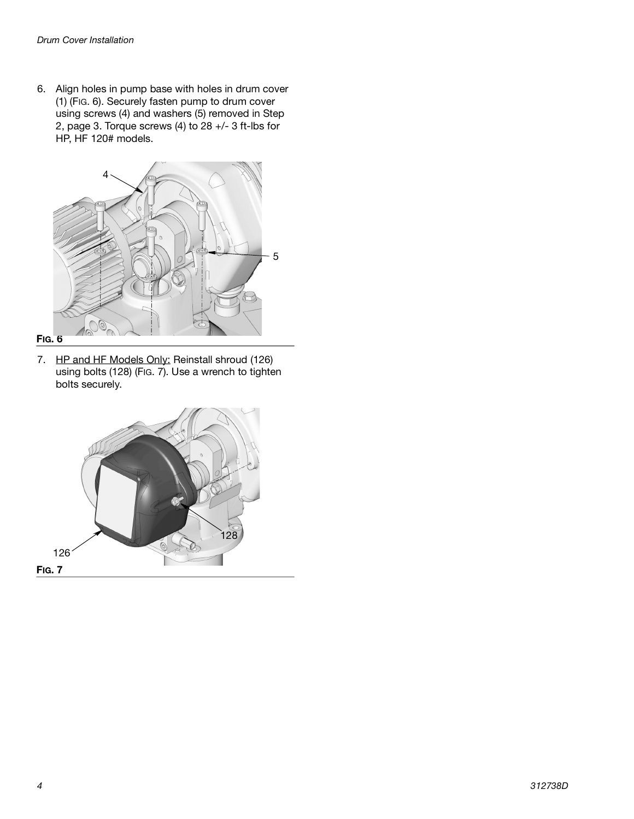6. Align holes in pump base with holes in drum cover (1) [\(FIG. 6](#page-3-1)). Securely fasten pump to drum cover using screws (4) and washers (5) removed in Step [2,](#page-2-3) page [3.](#page-2-3) Torque screws (4) to 28 +/- 3 ft-lbs for HP, HF 120# models.



#### <span id="page-3-1"></span>**FIG. 6**

7. HP and HF Models Only: Reinstall shroud (126) using bolts (128) ([FIG. 7\)](#page-3-0). Use a wrench to tighten bolts securely.

<span id="page-3-0"></span>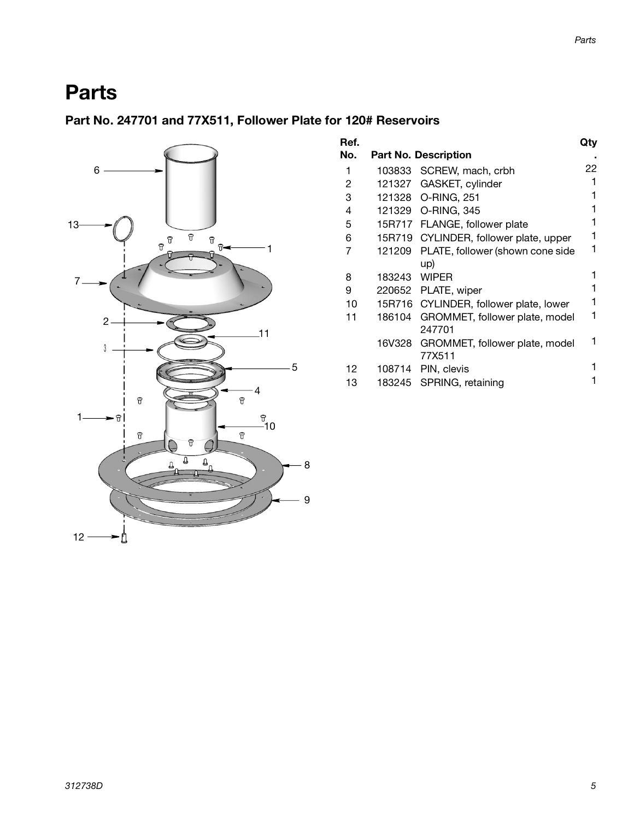### <span id="page-4-0"></span>**Parts**

#### **Part No. 247701 and 77X511, Follower Plate for 120# Reservoirs**



| Ref. |        |                                        | Qty |
|------|--------|----------------------------------------|-----|
| No.  |        | <b>Part No. Description</b>            |     |
| 1    | 103833 | SCREW, mach, crbh                      | 22  |
| 2    | 121327 | GASKET, cylinder                       |     |
| 3    |        | 121328 O-RING, 251                     |     |
| 4    |        | 121329 O-RING, 345                     |     |
| 5    |        | 15R717 FLANGE, follower plate          |     |
| 6    |        | 15R719 CYLINDER, follower plate, upper |     |
| 7    | 121209 | PLATE, follower (shown cone side       |     |
|      |        | up)                                    |     |
| 8    | 183243 | <b>WIPER</b>                           |     |
| 9    |        | 220652 PLATE, wiper                    |     |
| 10   |        | 15R716 CYLINDER, follower plate, lower | 1   |
| 11   | 186104 | GROMMET, follower plate, model         |     |
|      |        | 247701                                 |     |
|      | 16V328 | GROMMET, follower plate, model         |     |
|      |        | 77X511                                 |     |
| 12   | 108714 | PIN, clevis                            |     |
| 13   |        | 183245 SPRING, retaining               |     |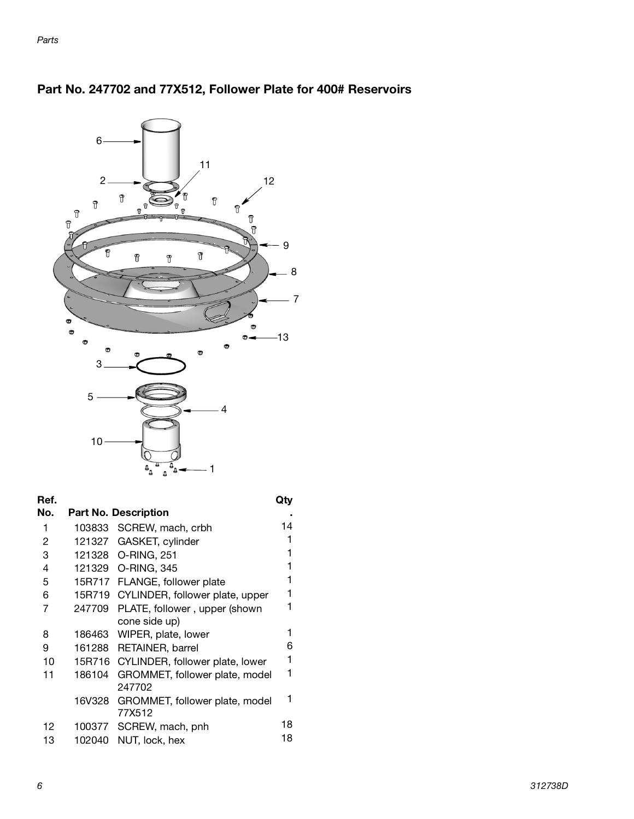

#### <span id="page-5-0"></span>**Part No. 247702 and 77X512, Follower Plate for 400# Reservoirs**

| Ref. |        |                                        |    |
|------|--------|----------------------------------------|----|
| No.  |        | <b>Part No. Description</b>            |    |
| 1    |        | 103833 SCREW, mach, crbh               | 14 |
| 2    | 121327 | GASKET, cylinder                       | 1  |
| 3    |        | 121328 O-RING, 251                     | 1  |
| 4    |        | 121329 O-RING, 345                     | 1  |
| 5    |        | 15R717 FLANGE, follower plate          | 1  |
| 6    | 15R719 | CYLINDER, follower plate, upper        | 1  |
| 7    | 247709 | PLATE, follower, upper (shown          |    |
|      |        | cone side up)                          |    |
| 8    | 186463 | WIPER, plate, lower                    | 1  |
| 9    | 161288 | <b>RETAINER, barrel</b>                | 6  |
| 10   |        | 15R716 CYLINDER, follower plate, lower | 1  |
| 11   | 186104 | GROMMET, follower plate, model         | 1  |
|      |        | 247702                                 |    |
|      | 16V328 | GROMMET, follower plate, model         | 1  |
|      |        | 77X512                                 |    |
| 12   | 100377 | SCREW, mach, pnh                       | 18 |
| 13   | 102040 | NUT, lock, hex                         | 18 |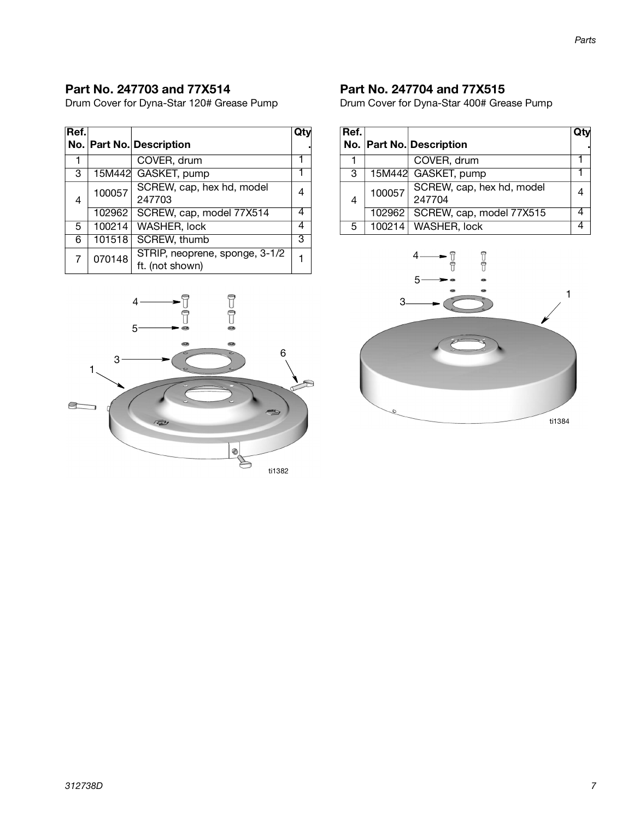#### **Part No. 247703 and 77X514**

Drum Cover for Dyna-Star 120# Grease Pump

| Ref.           |        |                                |   |
|----------------|--------|--------------------------------|---|
|                |        | No. Part No. Description       |   |
|                |        | COVER, drum                    |   |
| 3              | 15M442 | GASKET, pump                   |   |
|                | 100057 | SCREW, cap, hex hd, model      |   |
| 4              |        | 247703                         |   |
|                | 102962 | SCREW, cap, model 77X514       |   |
| 5              | 100214 | <b>WASHER, lock</b>            |   |
| 6              | 101518 | SCREW, thumb                   | 3 |
| $\overline{7}$ | 070148 | STRIP, neoprene, sponge, 3-1/2 |   |
|                |        | ft. (not shown)                |   |



#### **Part No. 247704 and 77X515**

Drum Cover for Dyna-Star 400# Grease Pump

| Ref. |        | No. Part No. Description            | Otv |
|------|--------|-------------------------------------|-----|
|      |        | COVER, drum                         |     |
| 3    |        | 15M442 GASKET, pump                 |     |
| 4    | 100057 | SCREW, cap, hex hd, model<br>247704 |     |
|      | 102962 | SCREW, cap, model 77X515            |     |
| 5    |        | 100214 WASHER, lock                 |     |